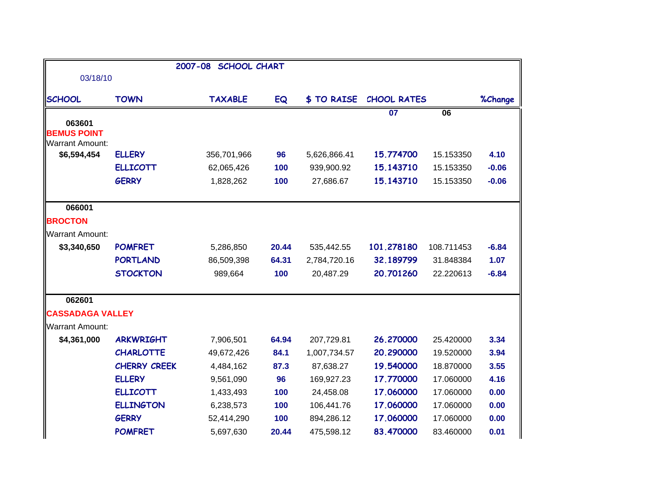|                                                        |                     | 2007-08 SCHOOL CHART |       |                   |                    |                 |         |
|--------------------------------------------------------|---------------------|----------------------|-------|-------------------|--------------------|-----------------|---------|
| 03/18/10                                               |                     |                      |       |                   |                    |                 |         |
| <b>SCHOOL</b>                                          | <b>TOWN</b>         | <b>TAXABLE</b>       | EQ    | <b>\$TO RAISE</b> | <b>CHOOL RATES</b> |                 | %Change |
|                                                        |                     |                      |       |                   | $\overline{07}$    | $\overline{06}$ |         |
| 063601<br><b>BEMUS POINT</b><br><b>Warrant Amount:</b> |                     |                      |       |                   |                    |                 |         |
| \$6,594,454                                            | <b>ELLERY</b>       | 356,701,966          | 96    | 5,626,866.41      | 15.774700          | 15.153350       | 4.10    |
|                                                        | <b>ELLICOTT</b>     | 62,065,426           | 100   | 939,900.92        | 15.143710          | 15.153350       | $-0.06$ |
|                                                        | <b>GERRY</b>        | 1,828,262            | 100   | 27,686.67         | 15.143710          | 15.153350       | $-0.06$ |
| 066001                                                 |                     |                      |       |                   |                    |                 |         |
| <b>BROCTON</b>                                         |                     |                      |       |                   |                    |                 |         |
| <b>Warrant Amount:</b>                                 |                     |                      |       |                   |                    |                 |         |
| \$3,340,650                                            | <b>POMFRET</b>      | 5,286,850            | 20.44 | 535,442.55        | 101.278180         | 108.711453      | $-6.84$ |
|                                                        | <b>PORTLAND</b>     | 86,509,398           | 64.31 | 2,784,720.16      | 32.189799          | 31.848384       | 1.07    |
|                                                        | <b>STOCKTON</b>     | 989,664              | 100   | 20,487.29         | 20.701260          | 22.220613       | $-6.84$ |
| 062601                                                 |                     |                      |       |                   |                    |                 |         |
| <b>CASSADAGA VALLEY</b>                                |                     |                      |       |                   |                    |                 |         |
| <b>Warrant Amount:</b>                                 |                     |                      |       |                   |                    |                 |         |
| \$4,361,000                                            | <b>ARKWRIGHT</b>    | 7,906,501            | 64.94 | 207,729.81        | 26.270000          | 25.420000       | 3.34    |
|                                                        | <b>CHARLOTTE</b>    | 49,672,426           | 84.1  | 1,007,734.57      | 20.290000          | 19.520000       | 3.94    |
|                                                        | <b>CHERRY CREEK</b> | 4,484,162            | 87.3  | 87,638.27         | 19.540000          | 18.870000       | 3.55    |
|                                                        | <b>ELLERY</b>       | 9,561,090            | 96    | 169,927.23        | 17.770000          | 17.060000       | 4.16    |
|                                                        | <b>ELLICOTT</b>     | 1,433,493            | 100   | 24,458.08         | 17.060000          | 17.060000       | 0.00    |
|                                                        | <b>ELLINGTON</b>    | 6,238,573            | 100   | 106,441.76        | 17.060000          | 17.060000       | 0.00    |
|                                                        | <b>GERRY</b>        | 52,414,290           | 100   | 894,286.12        | 17.060000          | 17.060000       | 0.00    |
|                                                        | <b>POMFRET</b>      | 5,697,630            | 20.44 | 475,598.12        | 83.470000          | 83.460000       | 0.01    |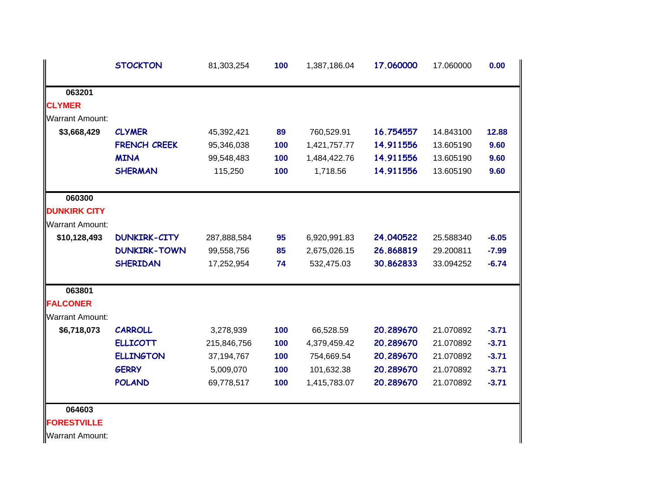|                        | <b>STOCKTON</b>     | 81,303,254   | 100 | 1,387,186.04 | 17.060000 | 17.060000 | 0.00    |
|------------------------|---------------------|--------------|-----|--------------|-----------|-----------|---------|
| 063201                 |                     |              |     |              |           |           |         |
| <b>CLYMER</b>          |                     |              |     |              |           |           |         |
| <b>Warrant Amount:</b> |                     |              |     |              |           |           |         |
| \$3,668,429            | <b>CLYMER</b>       | 45,392,421   | 89  | 760,529.91   | 16.754557 | 14.843100 | 12.88   |
|                        | FRENCH CREEK        | 95,346,038   | 100 | 1,421,757.77 | 14.911556 | 13.605190 | 9.60    |
|                        | <b>MINA</b>         | 99,548,483   | 100 | 1,484,422.76 | 14.911556 | 13.605190 | 9.60    |
|                        | <b>SHERMAN</b>      | 115,250      | 100 | 1,718.56     | 14.911556 | 13.605190 | 9.60    |
| 060300                 |                     |              |     |              |           |           |         |
| <b>DUNKIRK CITY</b>    |                     |              |     |              |           |           |         |
| <b>Warrant Amount:</b> |                     |              |     |              |           |           |         |
| \$10,128,493           | <b>DUNKIRK-CITY</b> | 287,888,584  | 95  | 6,920,991.83 | 24.040522 | 25.588340 | $-6.05$ |
|                        | <b>DUNKIRK-TOWN</b> | 99,558,756   | 85  | 2,675,026.15 | 26.868819 | 29.200811 | $-7.99$ |
|                        | <b>SHERIDAN</b>     | 17,252,954   | 74  | 532,475.03   | 30.862833 | 33.094252 | $-6.74$ |
| 063801                 |                     |              |     |              |           |           |         |
| <b>FALCONER</b>        |                     |              |     |              |           |           |         |
| <b>Warrant Amount:</b> |                     |              |     |              |           |           |         |
| \$6,718,073            | <b>CARROLL</b>      | 3,278,939    | 100 | 66,528.59    | 20.289670 | 21.070892 | $-3.71$ |
|                        | <b>ELLICOTT</b>     | 215,846,756  | 100 | 4,379,459.42 | 20.289670 | 21.070892 | $-3.71$ |
|                        | <b>ELLINGTON</b>    | 37, 194, 767 | 100 | 754,669.54   | 20.289670 | 21.070892 | $-3.71$ |
|                        | <b>GERRY</b>        | 5,009,070    | 100 | 101,632.38   | 20.289670 | 21.070892 | $-3.71$ |
|                        | <b>POLAND</b>       | 69,778,517   | 100 | 1,415,783.07 | 20.289670 | 21.070892 | $-3.71$ |
| 064603                 |                     |              |     |              |           |           |         |
| <b>FORESTVILLE</b>     |                     |              |     |              |           |           |         |
| <b>Warrant Amount:</b> |                     |              |     |              |           |           |         |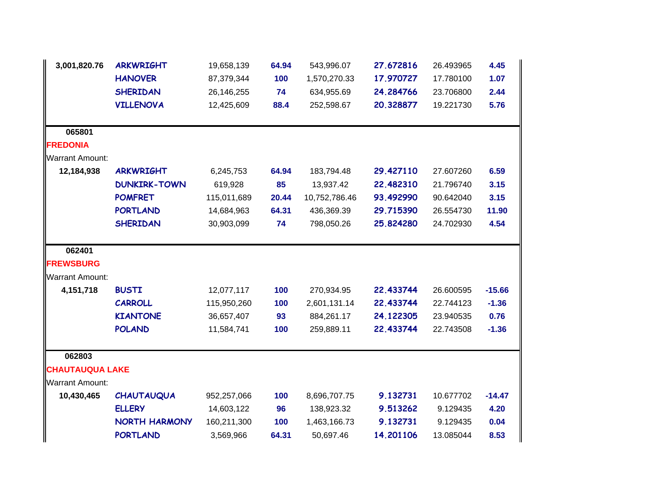| 3,001,820.76           | <b>ARKWRIGHT</b>     | 19,658,139  | 64.94 | 543,996.07    | 27.672816 | 26.493965 | 4.45     |
|------------------------|----------------------|-------------|-------|---------------|-----------|-----------|----------|
|                        | <b>HANOVER</b>       | 87,379,344  | 100   | 1,570,270.33  | 17.970727 | 17.780100 | 1.07     |
|                        | <b>SHERIDAN</b>      | 26,146,255  | 74    | 634,955.69    | 24.284766 | 23.706800 | 2.44     |
|                        | <b>VILLENOVA</b>     | 12,425,609  | 88.4  | 252,598.67    | 20.328877 | 19.221730 | 5.76     |
|                        |                      |             |       |               |           |           |          |
| 065801                 |                      |             |       |               |           |           |          |
| <b>FREDONIA</b>        |                      |             |       |               |           |           |          |
| <b>Warrant Amount:</b> |                      |             |       |               |           |           |          |
| 12,184,938             | <b>ARKWRIGHT</b>     | 6,245,753   | 64.94 | 183,794.48    | 29.427110 | 27.607260 | 6.59     |
|                        | <b>DUNKIRK-TOWN</b>  | 619,928     | 85    | 13,937.42     | 22.482310 | 21.796740 | 3.15     |
|                        | <b>POMFRET</b>       | 115,011,689 | 20.44 | 10,752,786.46 | 93.492990 | 90.642040 | 3.15     |
|                        | <b>PORTLAND</b>      | 14,684,963  | 64.31 | 436,369.39    | 29.715390 | 26.554730 | 11.90    |
|                        | <b>SHERIDAN</b>      | 30,903,099  | 74    | 798,050.26    | 25.824280 | 24.702930 | 4.54     |
|                        |                      |             |       |               |           |           |          |
| 062401                 |                      |             |       |               |           |           |          |
| <b>FREWSBURG</b>       |                      |             |       |               |           |           |          |
| <b>Warrant Amount:</b> |                      |             |       |               |           |           |          |
| 4,151,718              | <b>BUSTI</b>         | 12,077,117  | 100   | 270,934.95    | 22.433744 | 26.600595 | $-15.66$ |
|                        | <b>CARROLL</b>       | 115,950,260 | 100   | 2,601,131.14  | 22.433744 | 22.744123 | $-1.36$  |
|                        | <b>KIANTONE</b>      | 36,657,407  | 93    | 884,261.17    | 24.122305 | 23.940535 | 0.76     |
|                        | <b>POLAND</b>        | 11,584,741  | 100   | 259,889.11    | 22.433744 | 22.743508 | $-1.36$  |
| 062803                 |                      |             |       |               |           |           |          |
| <b>CHAUTAUQUA LAKE</b> |                      |             |       |               |           |           |          |
| <b>Warrant Amount:</b> |                      |             |       |               |           |           |          |
| 10,430,465             | <b>CHAUTAUQUA</b>    | 952,257,066 | 100   | 8,696,707.75  | 9.132731  | 10.677702 | $-14.47$ |
|                        | <b>ELLERY</b>        | 14,603,122  | 96    | 138,923.32    | 9.513262  | 9.129435  | 4.20     |
|                        | <b>NORTH HARMONY</b> | 160,211,300 | 100   | 1,463,166.73  | 9.132731  | 9.129435  | 0.04     |
|                        | <b>PORTLAND</b>      | 3,569,966   | 64.31 | 50,697.46     | 14.201106 | 13.085044 | 8.53     |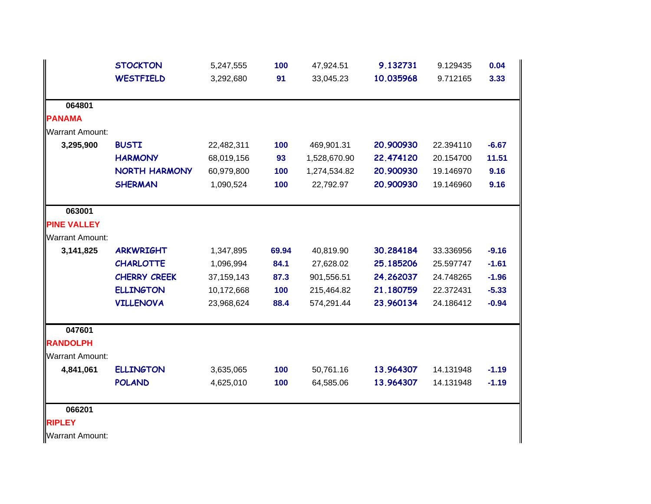|                        | <b>STOCKTON</b>      | 5,247,555    | 100   | 47,924.51    | 9.132731  | 9.129435  | 0.04    |
|------------------------|----------------------|--------------|-------|--------------|-----------|-----------|---------|
|                        | <b>WESTFIELD</b>     | 3,292,680    | 91    | 33,045.23    | 10.035968 | 9.712165  | 3.33    |
| 064801                 |                      |              |       |              |           |           |         |
| <b>PANAMA</b>          |                      |              |       |              |           |           |         |
| <b>Warrant Amount:</b> |                      |              |       |              |           |           |         |
| 3,295,900              | <b>BUSTI</b>         | 22,482,311   | 100   | 469,901.31   | 20.900930 | 22.394110 | $-6.67$ |
|                        | <b>HARMONY</b>       | 68,019,156   | 93    | 1,528,670.90 | 22.474120 | 20.154700 | 11.51   |
|                        | <b>NORTH HARMONY</b> | 60,979,800   | 100   | 1,274,534.82 | 20.900930 | 19.146970 | 9.16    |
|                        | <b>SHERMAN</b>       | 1,090,524    | 100   | 22,792.97    | 20.900930 | 19.146960 | 9.16    |
| 063001                 |                      |              |       |              |           |           |         |
| <b>PINE VALLEY</b>     |                      |              |       |              |           |           |         |
| <b>Warrant Amount:</b> |                      |              |       |              |           |           |         |
| 3,141,825              | <b>ARKWRIGHT</b>     | 1,347,895    | 69.94 | 40,819.90    | 30.284184 | 33.336956 | $-9.16$ |
|                        | <b>CHARLOTTE</b>     | 1,096,994    | 84.1  | 27,628.02    | 25.185206 | 25.597747 | $-1.61$ |
|                        | <b>CHERRY CREEK</b>  | 37, 159, 143 | 87.3  | 901,556.51   | 24.262037 | 24.748265 | $-1.96$ |
|                        | <b>ELLINGTON</b>     | 10,172,668   | 100   | 215,464.82   | 21.180759 | 22.372431 | $-5.33$ |
|                        | <b>VILLENOVA</b>     | 23,968,624   | 88.4  | 574,291.44   | 23.960134 | 24.186412 | $-0.94$ |
| 047601                 |                      |              |       |              |           |           |         |
| <b>RANDOLPH</b>        |                      |              |       |              |           |           |         |
| <b>Warrant Amount:</b> |                      |              |       |              |           |           |         |
| 4,841,061              | <b>ELLINGTON</b>     | 3,635,065    | 100   | 50,761.16    | 13.964307 | 14.131948 | $-1.19$ |
|                        | <b>POLAND</b>        | 4,625,010    | 100   | 64,585.06    | 13.964307 | 14.131948 | $-1.19$ |
| 066201                 |                      |              |       |              |           |           |         |
| <b>RIPLEY</b>          |                      |              |       |              |           |           |         |
| <b>Warrant Amount:</b> |                      |              |       |              |           |           |         |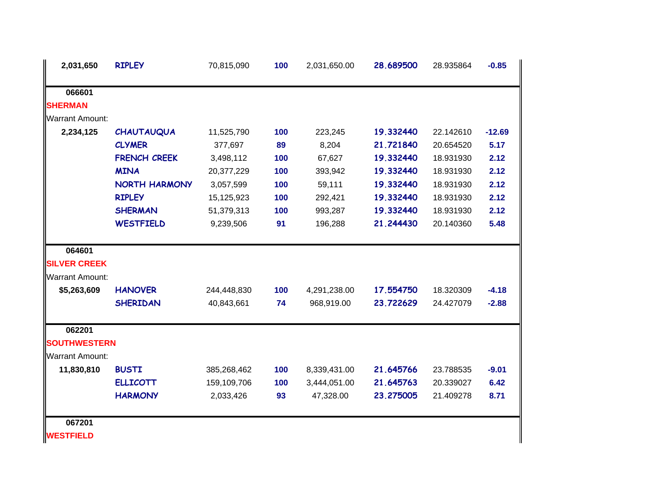| <b>CHAUTAUQUA</b>                                                          | 11,525,790          | 100 | 223,245      | 19.332440 | 22.142610 | $-12.69$ |
|----------------------------------------------------------------------------|---------------------|-----|--------------|-----------|-----------|----------|
| <b>CLYMER</b>                                                              | 377,697             | 89  | 8,204        | 21.721840 | 20.654520 | 5.17     |
| <b>FRENCH CREEK</b>                                                        | 3,498,112           | 100 | 67,627       | 19.332440 | 18.931930 | 2.12     |
| <b>MINA</b>                                                                | 20,377,229          | 100 | 393,942      | 19.332440 | 18.931930 | 2.12     |
| <b>NORTH HARMONY</b>                                                       | 3,057,599           | 100 | 59,111       | 19.332440 | 18.931930 | 2.12     |
| <b>RIPLEY</b>                                                              | 15,125,923          | 100 | 292,421      | 19.332440 | 18.931930 | 2.12     |
| <b>SHERMAN</b>                                                             | 51,379,313          | 100 | 993,287      | 19.332440 | 18.931930 | 2.12     |
| <b>WESTFIELD</b>                                                           | 9,239,506           | 91  | 196,288      | 21.244430 | 20.140360 | 5.48     |
|                                                                            |                     |     |              |           |           |          |
|                                                                            |                     |     |              |           |           |          |
|                                                                            |                     |     |              |           |           |          |
| <b>HANOVER</b>                                                             | 244,448,830         | 100 | 4,291,238.00 | 17.554750 | 18.320309 | $-4.18$  |
| <b>SHERIDAN</b>                                                            | 40,843,661          | 74  | 968,919.00   | 23.722629 | 24.427079 | $-2.88$  |
|                                                                            |                     |     |              |           |           |          |
|                                                                            |                     |     |              |           |           |          |
|                                                                            |                     |     |              |           |           |          |
| <b>BUSTI</b>                                                               | 385,268,462         | 100 | 8,339,431.00 | 21.645766 | 23.788535 | $-9.01$  |
| <b>ELLICOTT</b>                                                            | 159,109,706         | 100 | 3,444,051.00 | 21.645763 | 20.339027 | 6.42     |
| <b>HARMONY</b>                                                             | 2,033,426           | 93  | 47,328.00    | 23.275005 | 21.409278 | 8.71     |
|                                                                            |                     |     |              |           |           |          |
| <b>Warrant Amount:</b><br><b>Warrant Amount:</b><br><b>Warrant Amount:</b> | <b>SOUTHWESTERN</b> |     |              |           |           |          |